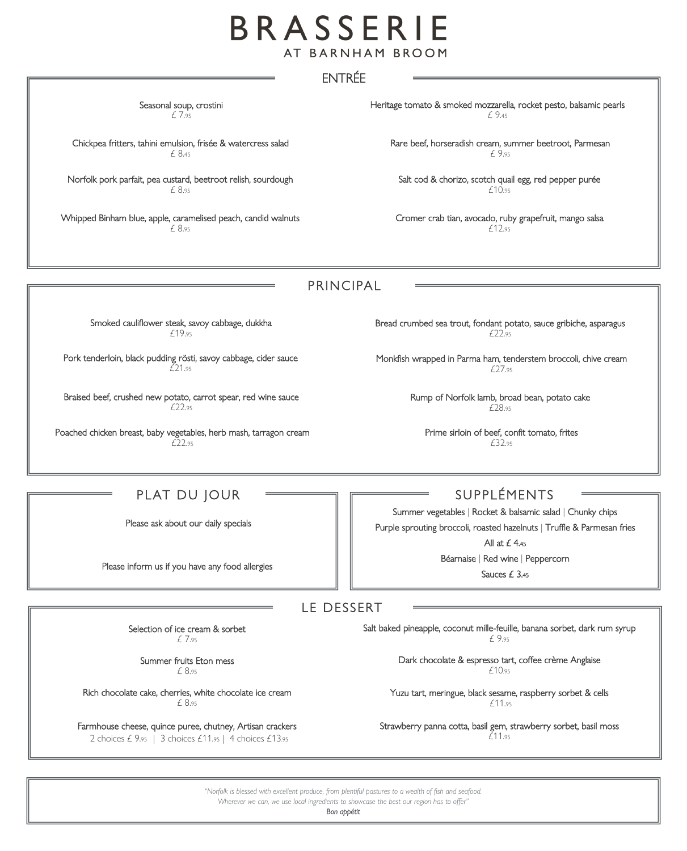## BRASSERIE AT BARNHAM BROOM

## ENTRÉE

Seasonal soup, crostini £ 7.<sup>95</sup>

Chickpea fritters, tahini emulsion, frisée & watercress salad £ 8.<sup>45</sup>

Norfolk pork parfait, pea custard, beetroot relish, sourdough £ 8.<sup>95</sup>

Whipped Binham blue, apple, caramelised peach, candid walnuts £ 8.<sup>95</sup>

Heritage tomato & smoked mozzarella, rocket pesto, balsamic pearls £ 9.<sup>45</sup>

Rare beef, horseradish cream, summer beetroot, Parmesan £ 9.<sup>95</sup>

Salt cod & chorizo, scotch quail egg, red pepper purée £10.<sup>95</sup>

Cromer crab tian, avocado, ruby grapefruit, mango salsa £12.<sup>95</sup>

PRINCIPAL

Smoked cauliflower steak, savoy cabbage, dukkha £19.<sup>95</sup>

Pork tenderloin, black pudding rösti, savoy cabbage, cider sauce £21.<sup>95</sup>

Braised beef, crushed new potato, carrot spear, red wine sauce £22.<sup>95</sup>

Poached chicken breast, baby vegetables, herb mash, tarragon cream  $f$  $22.95$ 

Bread crumbed sea trout, fondant potato, sauce gribiche, asparagus £22.<sup>95</sup>

Monkfish wrapped in Parma ham, tenderstem broccoli, chive cream £27.<sup>95</sup>

> Rump of Norfolk lamb, broad bean, potato cake £28.<sup>95</sup>

Prime sirloin of beef, confit tomato, frites £32.<sup>95</sup>

## PLAT DU JOUR

Please ask about our daily specials

Please inform us if you have any food allergies

SUPPL ÉMENTS

Summer vegetables | Rocket & balsamic salad | Chunky chips Purple sprouting broccoli, roasted hazelnuts | Truffle & Parmesan fries

All at  $£$  4.45

Béarnaise | Red wine | Peppercorn

Sauces £ 3.<sup>45</sup>

LE DESSERT

 Selection of ice cream & sorbet £ 7.<sup>95</sup>

> Summer fruits Eton mess £ 8.<sup>95</sup>

Rich chocolate cake, cherries, white chocolate ice cream £ 8.<sup>95</sup>

2 choices £ 9.95 | 3 choices £11.95 | 4 choices £13.95 Farmhouse cheese, quince puree, chutney, Artisan crackers Salt baked pineapple, coconut mille-feuille, banana sorbet, dark rum syrup £ 9.<sup>95</sup>

> Dark chocolate & espresso tart, coffee crème Anglaise £10.95

Yuzu tart, meringue, black sesame, raspberry sorbet & cells £11.<sup>95</sup>

Strawberry panna cotta, basil gem, strawberry sorbet, basil moss £11.<sup>95</sup>

*"Norfolk is blessed with excellent produce, from plentiful pastures to a wealth of fish and seafood.* 

*Wherever we can, we use local ingredients to showcase the best our region has to offer"*